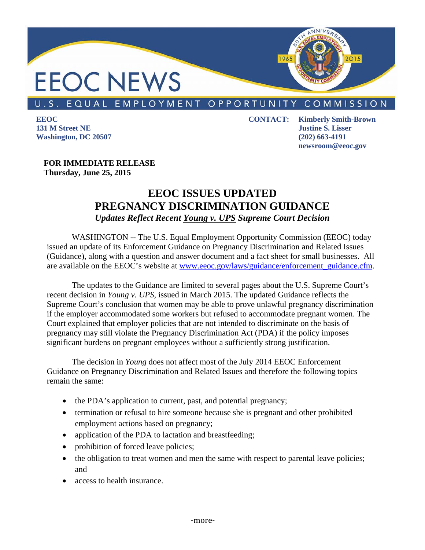

## U.S. EQUAL EMPLOYMENT OPPORTUNITY COMMISSION

**EEOC 131 M Street NE Washington, DC 20507** 

**CONTACT: Kimberly Smith-Brown Justine S. Lisser (202) 663-4191 newsroom@eeoc.gov** 

**FOR IMMEDIATE RELEASE Thursday, June 25, 2015** 

## **EEOC ISSUES UPDATED PREGNANCY DISCRIMINATION GUIDANCE**  *Updates Reflect Recent Young v. UPS Supreme Court Decision*

WASHINGTON -- The U.S. Equal Employment Opportunity Commission (EEOC) today issued an update of its Enforcement Guidance on Pregnancy Discrimination and Related Issues (Guidance), along with a question and answer document and a fact sheet for small businesses. All are available on the EEOC's website at www.eeoc.gov/laws/guidance/enforcement\_guidance.cfm.

The updates to the Guidance are limited to several pages about the U.S. Supreme Court's recent decision in *Young v. UPS,* issued in March 2015. The updated Guidance reflects the Supreme Court's conclusion that women may be able to prove unlawful pregnancy discrimination if the employer accommodated some workers but refused to accommodate pregnant women. The Court explained that employer policies that are not intended to discriminate on the basis of pregnancy may still violate the Pregnancy Discrimination Act (PDA) if the policy imposes significant burdens on pregnant employees without a sufficiently strong justification.

The decision in *Young* does not affect most of the July 2014 EEOC Enforcement Guidance on Pregnancy Discrimination and Related Issues and therefore the following topics remain the same:

- the PDA's application to current, past, and potential pregnancy;
- termination or refusal to hire someone because she is pregnant and other prohibited employment actions based on pregnancy;
- application of the PDA to lactation and breastfeeding;
- prohibition of forced leave policies;
- the obligation to treat women and men the same with respect to parental leave policies; and
- access to health insurance.